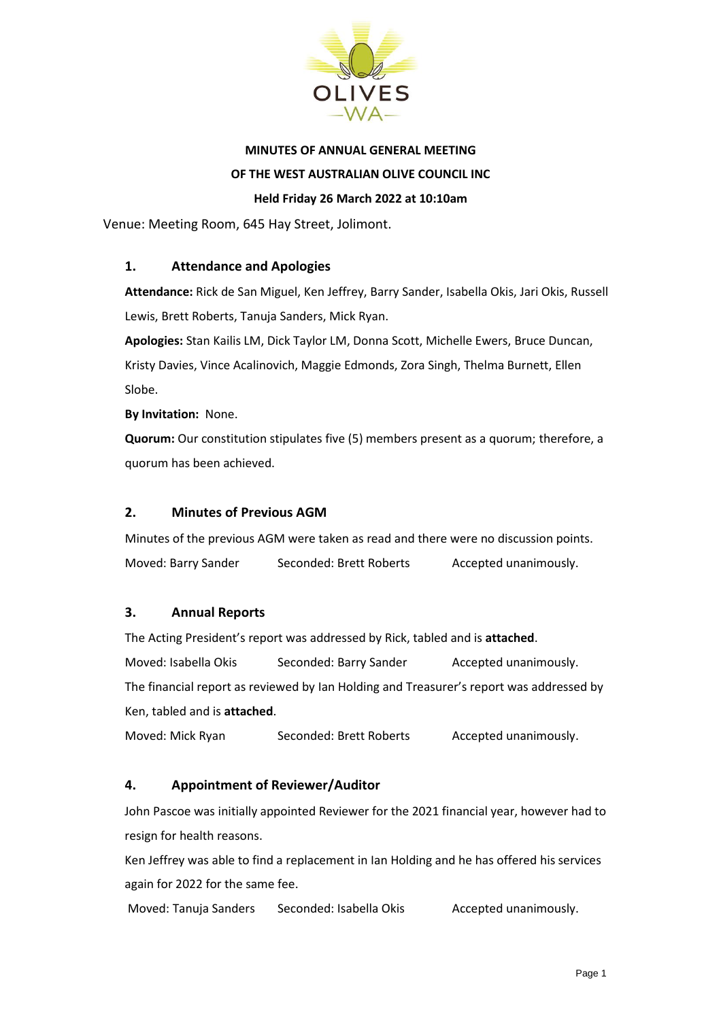

# **MINUTES OF ANNUAL GENERAL MEETING OF THE WEST AUSTRALIAN OLIVE COUNCIL INC**

#### **Held Friday 26 March 2022 at 10:10am**

Venue: Meeting Room, 645 Hay Street, Jolimont.

#### **1. Attendance and Apologies**

**Attendance:** Rick de San Miguel, Ken Jeffrey, Barry Sander, Isabella Okis, Jari Okis, Russell Lewis, Brett Roberts, Tanuja Sanders, Mick Ryan.

**Apologies:** Stan Kailis LM, Dick Taylor LM, Donna Scott, Michelle Ewers, Bruce Duncan, Kristy Davies, Vince Acalinovich, Maggie Edmonds, Zora Singh, Thelma Burnett, Ellen Slobe.

**By Invitation:** None.

**Quorum:** Our constitution stipulates five (5) members present as a quorum; therefore, a quorum has been achieved.

#### **2. Minutes of Previous AGM**

Minutes of the previous AGM were taken as read and there were no discussion points. Moved: Barry Sander Seconded: Brett Roberts Accepted unanimously.

#### **3. Annual Reports**

The Acting President's report was addressed by Rick, tabled and is **attached**.

Moved: Isabella Okis Seconded: Barry Sander Accepted unanimously. The financial report as reviewed by Ian Holding and Treasurer's report was addressed by Ken, tabled and is **attached**.

Moved: Mick Ryan Seconded: Brett Roberts Accepted unanimously.

#### **4. Appointment of Reviewer/Auditor**

John Pascoe was initially appointed Reviewer for the 2021 financial year, however had to resign for health reasons.

Ken Jeffrey was able to find a replacement in Ian Holding and he has offered his services again for 2022 for the same fee.

Moved: Tanuja Sanders Seconded: Isabella Okis Accepted unanimously.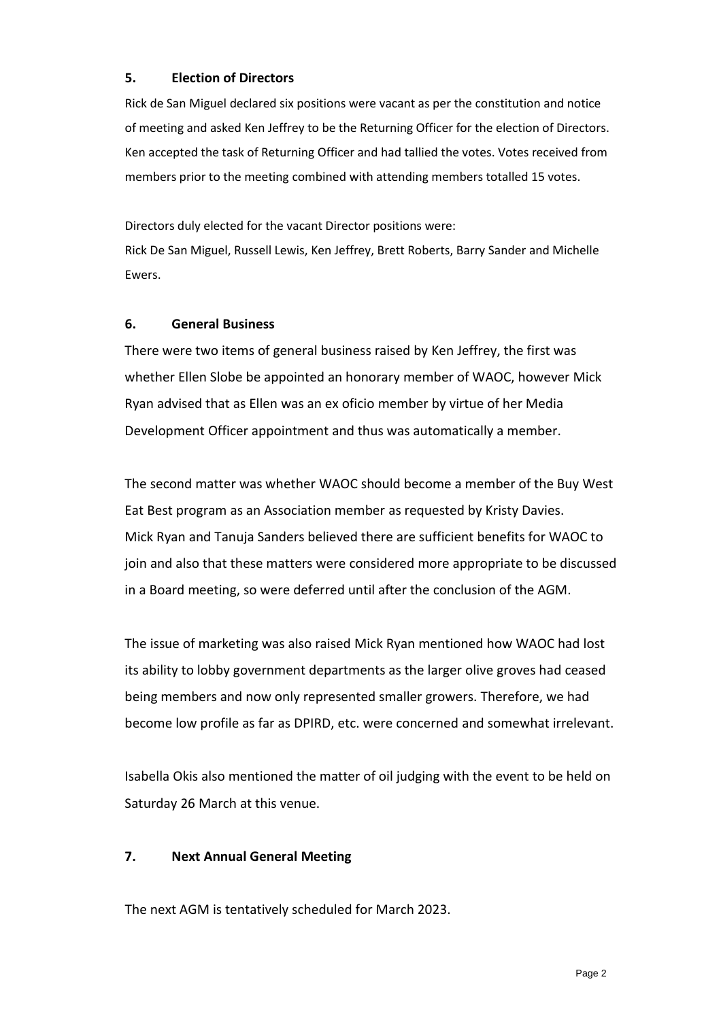#### **5. Election of Directors**

Rick de San Miguel declared six positions were vacant as per the constitution and notice of meeting and asked Ken Jeffrey to be the Returning Officer for the election of Directors. Ken accepted the task of Returning Officer and had tallied the votes. Votes received from members prior to the meeting combined with attending members totalled 15 votes.

Directors duly elected for the vacant Director positions were: Rick De San Miguel, Russell Lewis, Ken Jeffrey, Brett Roberts, Barry Sander and Michelle Ewers.

#### **6. General Business**

There were two items of general business raised by Ken Jeffrey, the first was whether Ellen Slobe be appointed an honorary member of WAOC, however Mick Ryan advised that as Ellen was an ex oficio member by virtue of her Media Development Officer appointment and thus was automatically a member.

The second matter was whether WAOC should become a member of the Buy West Eat Best program as an Association member as requested by Kristy Davies. Mick Ryan and Tanuja Sanders believed there are sufficient benefits for WAOC to join and also that these matters were considered more appropriate to be discussed in a Board meeting, so were deferred until after the conclusion of the AGM.

The issue of marketing was also raised Mick Ryan mentioned how WAOC had lost its ability to lobby government departments as the larger olive groves had ceased being members and now only represented smaller growers. Therefore, we had become low profile as far as DPIRD, etc. were concerned and somewhat irrelevant.

Isabella Okis also mentioned the matter of oil judging with the event to be held on Saturday 26 March at this venue.

### **7. Next Annual General Meeting**

The next AGM is tentatively scheduled for March 2023.